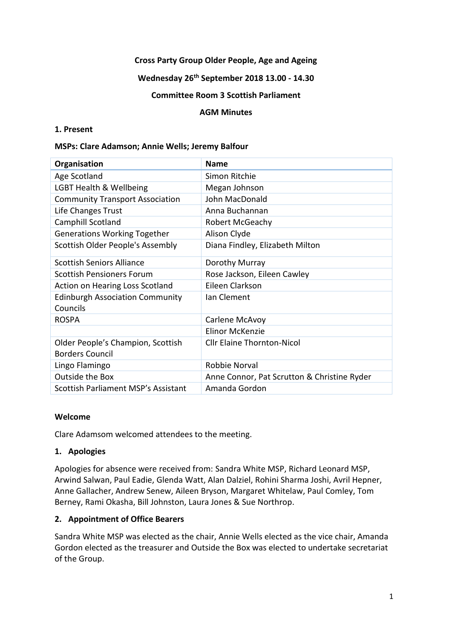## **Cross Party Group Older People, Age and Ageing**

## **Wednesday 26th September 2018 13.00 - 14.30**

### **Committee Room 3 Scottish Parliament**

### **AGM Minutes**

## **1. Present**

#### **MSPs: Clare Adamson; Annie Wells; Jeremy Balfour**

| Organisation                           | <b>Name</b>                                 |
|----------------------------------------|---------------------------------------------|
| Age Scotland                           | Simon Ritchie                               |
| <b>LGBT Health &amp; Wellbeing</b>     | Megan Johnson                               |
| <b>Community Transport Association</b> | John MacDonald                              |
| Life Changes Trust                     | Anna Buchannan                              |
| Camphill Scotland                      | Robert McGeachy                             |
| <b>Generations Working Together</b>    | Alison Clyde                                |
| Scottish Older People's Assembly       | Diana Findley, Elizabeth Milton             |
| <b>Scottish Seniors Alliance</b>       | Dorothy Murray                              |
| <b>Scottish Pensioners Forum</b>       | Rose Jackson, Eileen Cawley                 |
| Action on Hearing Loss Scotland        | Eileen Clarkson                             |
| <b>Edinburgh Association Community</b> | Ian Clement                                 |
| Councils                               |                                             |
| <b>ROSPA</b>                           | Carlene McAvoy                              |
|                                        | <b>Elinor McKenzie</b>                      |
| Older People's Champion, Scottish      | <b>Cllr Elaine Thornton-Nicol</b>           |
| <b>Borders Council</b>                 |                                             |
| Lingo Flamingo                         | <b>Robbie Norval</b>                        |
| Outside the Box                        | Anne Connor, Pat Scrutton & Christine Ryder |
| Scottish Parliament MSP's Assistant    | Amanda Gordon                               |

#### **Welcome**

Clare Adamsom welcomed attendees to the meeting.

#### **1. Apologies**

Apologies for absence were received from: Sandra White MSP, Richard Leonard MSP, Arwind Salwan, Paul Eadie, Glenda Watt, Alan Dalziel, Rohini Sharma Joshi, Avril Hepner, Anne Gallacher, Andrew Senew, Aileen Bryson, Margaret Whitelaw, Paul Comley, Tom Berney, Rami Okasha, Bill Johnston, Laura Jones & Sue Northrop.

#### **2. Appointment of Office Bearers**

Sandra White MSP was elected as the chair, Annie Wells elected as the vice chair, Amanda Gordon elected as the treasurer and Outside the Box was elected to undertake secretariat of the Group.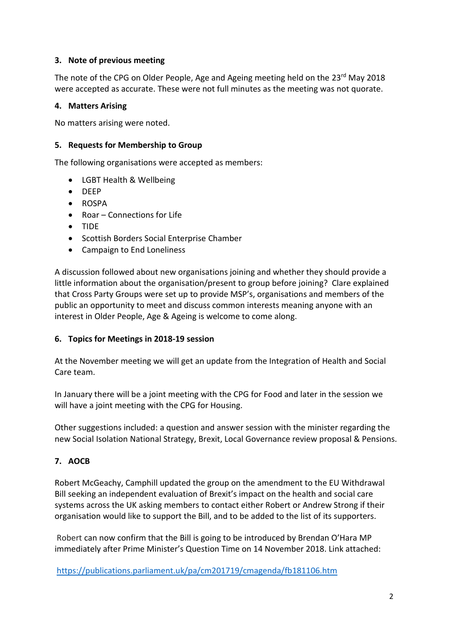# **3. Note of previous meeting**

The note of the CPG on Older People, Age and Ageing meeting held on the 23rd May 2018 were accepted as accurate. These were not full minutes as the meeting was not quorate.

# **4. Matters Arising**

No matters arising were noted.

# **5. Requests for Membership to Group**

The following organisations were accepted as members:

- LGBT Health & Wellbeing
- DEEP
- ROSPA
- Roar Connections for Life
- TIDE
- Scottish Borders Social Enterprise Chamber
- Campaign to End Loneliness

A discussion followed about new organisations joining and whether they should provide a little information about the organisation/present to group before joining? Clare explained that Cross Party Groups were set up to provide MSP's, organisations and members of the public an opportunity to meet and discuss common interests meaning anyone with an interest in Older People, Age & Ageing is welcome to come along.

# **6. Topics for Meetings in 2018-19 session**

At the November meeting we will get an update from the Integration of Health and Social Care team.

In January there will be a joint meeting with the CPG for Food and later in the session we will have a joint meeting with the CPG for Housing.

Other suggestions included: a question and answer session with the minister regarding the new Social Isolation National Strategy, Brexit, Local Governance review proposal & Pensions.

# **7. AOCB**

Robert McGeachy, Camphill updated the group on the amendment to the EU Withdrawal Bill seeking an independent evaluation of Brexit's impact on the health and social care systems across the UK asking members to contact either Robert or Andrew Strong if their organisation would like to support the Bill, and to be added to the list of its supporters.

Robert can now confirm that the Bill is going to be introduced by Brendan O'Hara MP immediately after Prime Minister's Question Time on 14 November 2018. Link attached:

<https://publications.parliament.uk/pa/cm201719/cmagenda/fb181106.htm>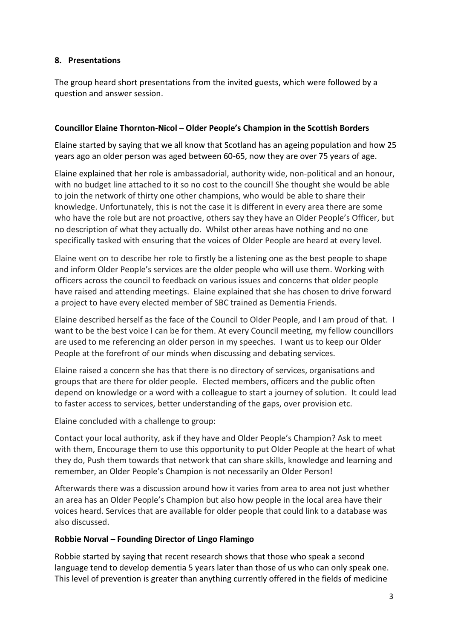## **8. Presentations**

The group heard short presentations from the invited guests, which were followed by a question and answer session.

### **Councillor Elaine Thornton-Nicol – Older People's Champion in the Scottish Borders**

Elaine started by saying that we all know that Scotland has an ageing population and how 25 years ago an older person was aged between 60-65, now they are over 75 years of age.

Elaine explained that her role is ambassadorial, authority wide, non-political and an honour, with no budget line attached to it so no cost to the council! She thought she would be able to join the network of thirty one other champions, who would be able to share their knowledge. Unfortunately, this is not the case it is different in every area there are some who have the role but are not proactive, others say they have an Older People's Officer, but no description of what they actually do. Whilst other areas have nothing and no one specifically tasked with ensuring that the voices of Older People are heard at every level.

Elaine went on to describe her role to firstly be a listening one as the best people to shape and inform Older People's services are the older people who will use them. Working with officers across the council to feedback on various issues and concerns that older people have raised and attending meetings. Elaine explained that she has chosen to drive forward a project to have every elected member of SBC trained as Dementia Friends.

Elaine described herself as the face of the Council to Older People, and I am proud of that. I want to be the best voice I can be for them. At every Council meeting, my fellow councillors are used to me referencing an older person in my speeches. I want us to keep our Older People at the forefront of our minds when discussing and debating services.

Elaine raised a concern she has that there is no directory of services, organisations and groups that are there for older people. Elected members, officers and the public often depend on knowledge or a word with a colleague to start a journey of solution. It could lead to faster access to services, better understanding of the gaps, over provision etc.

Elaine concluded with a challenge to group:

Contact your local authority, ask if they have and Older People's Champion? Ask to meet with them, Encourage them to use this opportunity to put Older People at the heart of what they do, Push them towards that network that can share skills, knowledge and learning and remember, an Older People's Champion is not necessarily an Older Person!

Afterwards there was a discussion around how it varies from area to area not just whether an area has an Older People's Champion but also how people in the local area have their voices heard. Services that are available for older people that could link to a database was also discussed.

#### **Robbie Norval – Founding Director of Lingo Flamingo**

Robbie started by saying that recent research shows that those who speak a second language tend to develop dementia 5 years later than those of us who can only speak one. This level of prevention is greater than anything currently offered in the fields of medicine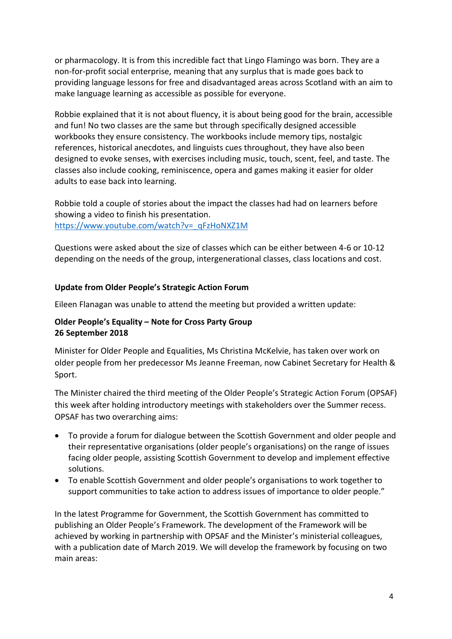or pharmacology. It is from this incredible fact that Lingo Flamingo was born. They are a non-for-profit social enterprise, meaning that any surplus that is made goes back to providing language lessons for free and disadvantaged areas across Scotland with an aim to make language learning as accessible as possible for everyone.

Robbie explained that it is not about fluency, it is about being good for the brain, accessible and fun! No two classes are the same but through specifically designed accessible workbooks they ensure consistency. The workbooks include memory tips, nostalgic references, historical anecdotes, and linguists cues throughout, they have also been designed to evoke senses, with exercises including music, touch, scent, feel, and taste. The classes also include cooking, reminiscence, opera and games making it easier for older adults to ease back into learning.

Robbie told a couple of stories about the impact the classes had had on learners before showing a video to finish his presentation. [https://www.youtube.com/watch?v=\\_qFzHoNXZ1M](https://www.youtube.com/watch?v=_qFzHoNXZ1M)

Questions were asked about the size of classes which can be either between 4-6 or 10-12 depending on the needs of the group, intergenerational classes, class locations and cost.

### **Update from Older People's Strategic Action Forum**

Eileen Flanagan was unable to attend the meeting but provided a written update:

### **Older People's Equality – Note for Cross Party Group 26 September 2018**

Minister for Older People and Equalities, Ms Christina McKelvie, has taken over work on older people from her predecessor Ms Jeanne Freeman, now Cabinet Secretary for Health & Sport.

The Minister chaired the third meeting of the Older People's Strategic Action Forum (OPSAF) this week after holding introductory meetings with stakeholders over the Summer recess. OPSAF has two overarching aims:

- To provide a forum for dialogue between the Scottish Government and older people and their representative organisations (older people's organisations) on the range of issues facing older people, assisting Scottish Government to develop and implement effective solutions.
- To enable Scottish Government and older people's organisations to work together to support communities to take action to address issues of importance to older people."

In the latest Programme for Government, the Scottish Government has committed to publishing an Older People's Framework. The development of the Framework will be achieved by working in partnership with OPSAF and the Minister's ministerial colleagues, with a publication date of March 2019. We will develop the framework by focusing on two main areas: